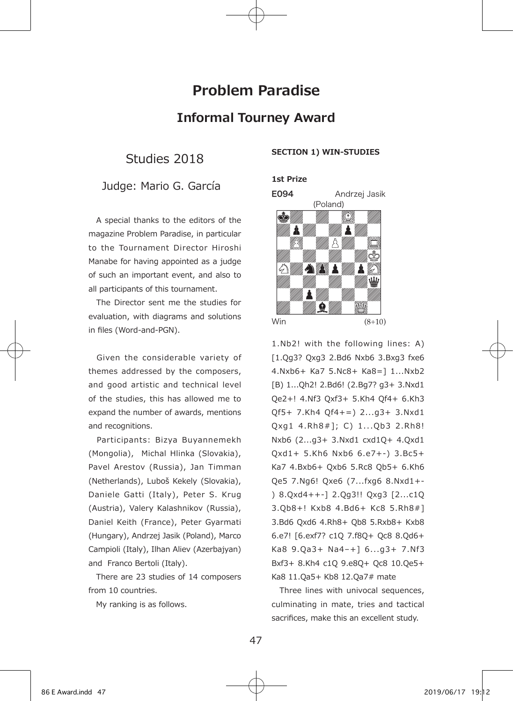# **Problem Paradise Informal Tourney Award**

Studies 2018

## Judge: Mario G. García

 A special thanks to the editors of the magazine Problem Paradise, in particular to the Tournament Director Hiroshi Manabe for having appointed as a judge of such an important event, and also to all participants of this tournament.

 The Director sent me the studies for evaluation, with diagrams and solutions in files (Word-and-PGN).

 Given the considerable variety of themes addressed by the composers, and good artistic and technical level of the studies, this has allowed me to expand the number of awards, mentions and recognitions.

Participants: Bizya Buyannemekh (Mongolia), Michal Hlinka (Slovakia), Pavel Arestov (Russia), Jan Timman (Netherlands), Luboš Kekely (Slovakia), Daniele Gatti (Italy), Peter S. Krug (Austria), Valery Kalashnikov (Russia), Daniel Keith (France), Peter Gyarmati (Hungary), Andrzej Jasik (Poland), Marco Campioli (Italy), Ilhan Aliev (Azerbajyan) and Franco Bertoli (Italy).

 There are 23 studies of 14 composers from 10 countries.

My ranking is as follows.

#### **SECTION 1) WIN-STUDIES**

#### **1st Prize**



1.Nb2! with the following lines: A) [1.Qg3? Qxg3 2.Bd6 Nxb6 3.Bxg3 fxe6 4.Nxb6+ Ka7 5.Nc8+ Ka8=] 1...Nxb2 [B) 1...Qh2! 2.Bd6! (2.Bg7? g3+ 3.Nxd1 Qe2+! 4.Nf3 Qxf3+ 5.Kh4 Qf4+ 6.Kh3 Qf5+ 7.Kh4 Qf4+=) 2...g3+ 3.Nxd1 Qxg1 4.Rh8#]; C) 1... Ob3 2.Rh8! Nxb6 (2...g3+ 3.Nxd1 cxd1Q+ 4.Qxd1 Qxd1+ 5.Kh6 Nxb6 6.e7+-) 3.Bc5+ Ka7 4.Bxb6+ Qxb6 5.Rc8 Qb5+ 6.Kh6 Qe5 7.Ng6! Qxe6 (7...fxg6 8.Nxd1+- ) 8.Qxd4++-] 2.Qg3!! Qxg3 [2...c1Q 3.Qb8+! Kxb8 4.Bd6+ Kc8 5.Rh8#] 3.Bd6 Qxd6 4.Rh8+ Qb8 5.Rxb8+ Kxb8 6.e7! [6.exf7? c1Q 7.f8Q+ Qc8 8.Qd6+ Ka8 9.Qa3+ Na4–+] 6...g3+ 7.Nf3 Bxf3+ 8.Kh4 c1Q 9.e8Q+ Qc8 10.Qe5+ Ka8 11.Qa5+ Kb8 12.Qa7# mate

 Three lines with univocal sequences, culminating in mate, tries and tactical sacrifices, make this an excellent study.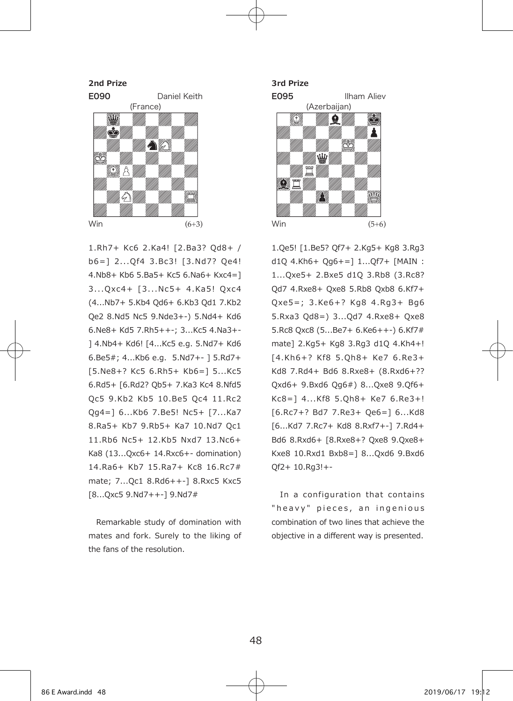

1.Rh7+ Kc6 2.Ka4! [2.Ba3? Qd8+ / b6=] 2... Of4 3.Bc3! [3.Nd7? Oe4! 4.Nb8+ Kb6 5.Ba5+ Kc5 6.Na6+ Kxc4=] 3... Oxc4+ [3... Nc5+ 4.Ka5! Oxc4 (4...Nb7+ 5.Kb4 Qd6+ 6.Kb3 Qd1 7.Kb2 Qe2 8.Nd5 Nc5 9.Nde3+-) 5.Nd4+ Kd6 6.Ne8+ Kd5 7.Rh5++-; 3...Kc5 4.Na3+- ] 4.Nb4+ Kd6! [4...Kc5 e.g. 5.Nd7+ Kd6 6.Be5#; 4...Kb6 e.g. 5.Nd7+- ] 5.Rd7+ [5.Ne8+? Kc5 6.Rh5+ Kb6=] 5...Kc5 6.Rd5+ [6.Rd2? Qb5+ 7.Ka3 Kc4 8.Nfd5 Qc5 9.Kb2 Kb5 10.Be5 Qc4 11.Rc2 Qg4=] 6...Kb6 7.Be5! Nc5+ [7...Ka7 8.Ra5+ Kb7 9.Rb5+ Ka7 10.Nd7 Qc1 11.Rb6 Nc5+ 12.Kb5 Nxd7 13.Nc6+ Ka8 (13...Qxc6+ 14.Rxc6+- domination) 14.Ra6+ Kb7 15.Ra7+ Kc8 16.Rc7# mate; 7...Qc1 8.Rd6++-] 8.Rxc5 Kxc5 [8...Qxc5 9.Nd7++-] 9.Nd7#

 Remarkable study of domination with mates and fork. Surely to the liking of the fans of the resolution.



1.Qe5! [1.Be5? Qf7+ 2.Kg5+ Kg8 3.Rg3 d1Q 4.Kh6+ Qg6+=] 1...Qf7+ [MAIN : 1...Qxe5+ 2.Bxe5 d1Q 3.Rb8 (3.Rc8? Qd7 4.Rxe8+ Qxe8 5.Rb8 Qxb8 6.Kf7+ Qxe5=; 3 .Ke6+? Kg8 4 .Rg3+ Bg6 5.Rxa3 Qd8=) 3...Qd7 4.Rxe8+ Qxe8 5.Rc8 Qxc8 (5...Be7+ 6.Ke6++-) 6.Kf7# mate] 2.Kg5+ Kg8 3.Rg3 d1Q 4.Kh4+! [4 .Kh6+? K f8 5 .Qh8+ Ke7 6 .Re3+ Kd8 7.Rd4+ Bd6 8.Rxe8+ (8.Rxd6+?? Qxd6+ 9.Bxd6 Qg6#) 8...Qxe8 9.Qf6+ Kc8=] 4...Kf8 5.Qh8+ Ke7 6.Re3+! [6.Rc7+? Bd7 7.Re3+ Qe6=] 6...Kd8 [6...Kd7 7.Rc7+ Kd8 8.Rxf7+-] 7.Rd4+ Bd6 8.Rxd6+ [8.Rxe8+? Qxe8 9.Qxe8+ Kxe8 10.Rxd1 Bxb8=] 8...Qxd6 9.Bxd6 Qf2+ 10.Rg3!+-

In a configuration that contains "heavy" pieces, an ingenious combination of two lines that achieve the objective in a different way is presented.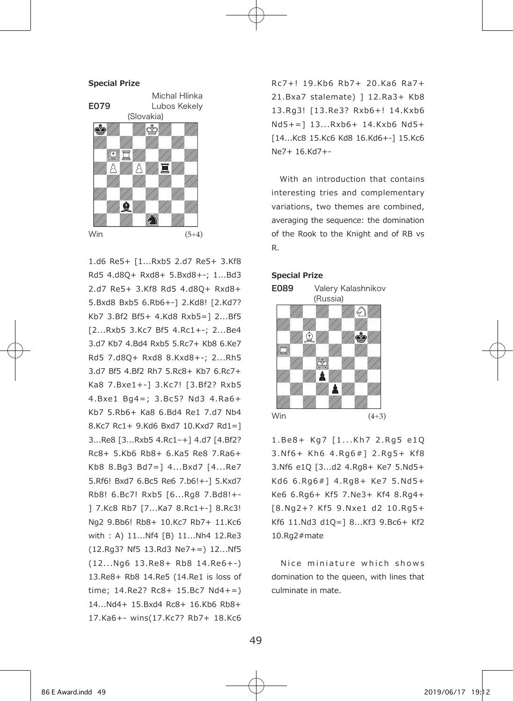

1.d6 Re5+ [1...Rxb5 2.d7 Re5+ 3.Kf8 Rd5 4.d8Q+ Rxd8+ 5.Bxd8+-; 1...Bd3 2.d7 Re5+ 3.Kf8 Rd5 4.d8Q+ Rxd8+ 5.Bxd8 Bxb5 6.Rb6+-] 2.Kd8! [2.Kd7? Kb7 3.Bf2 Bf5+ 4.Kd8 Rxb5=] 2...Bf5 [2...Rxb5 3.Kc7 Bf5 4.Rc1+-; 2...Be4 3.d7 Kb7 4.Bd4 Rxb5 5.Rc7+ Kb8 6.Ke7 Rd5 7.d8Q+ Rxd8 8.Kxd8+-; 2...Rh5 3.d7 Bf5 4.Bf2 Rh7 5.Rc8+ Kb7 6.Rc7+ Ka8 7.Bxe1+-] 3.Kc7! [3.Bf2? Rxb5 4 .Bxe1 Bg4=; 3 .Bc5? Nd3 4 .Ra6+ Kb7 5.Rb6+ Ka8 6.Bd4 Re1 7.d7 Nb4 8.Kc7 Rc1+ 9.Kd6 Bxd7 10.Kxd7 Rd1=] 3...Re8 [3...Rxb5 4.Rc1–+] 4.d7 [4.Bf2? Rc8+ 5.Kb6 Rb8+ 6.Ka5 Re8 7.Ra6+ Kb8 8.Bg3 Bd7=] 4...Bxd7 [4...Re7 5.Rf6! Bxd7 6.Bc5 Re6 7.b6!+-] 5.Kxd7 Rb8! 6.Bc7! Rxb5 [6...Rg8 7.Bd8!+- ] 7.Kc8 Rb7 [7...Ka7 8.Rc1+-] 8.Rc3! Ng2 9.Bb6! Rb8+ 10.Kc7 Rb7+ 11.Kc6 with : A) 11...Nf4 [B) 11...Nh4 12.Re3 (12.Rg3? Nf5 13.Rd3 Ne7+=) 12...Nf5 (12 . . .Ng6 13 .Re8+ Rb8 14 .Re6+-) 13.Re8+ Rb8 14.Re5 (14.Re1 is loss of time; 14.Re2? Rc8+ 15.Bc7 Nd4+=) 14...Nd4+ 15.Bxd4 Rc8+ 16.Kb6 Rb8+ 17.Ka6+- wins(17.Kc7? Rb7+ 18.Kc6

R c7+ ! 19 .Kb6 Rb7+ 20 .Ka6 Ra7+ 21.Bxa7 stalemate) ] 12.Ra3+ Kb8 13 .Rg3! [13 .Re3? Rxb6+! 14 .Kxb6 Nd5+=] 13...Rxb6+ 14.Kxb6 Nd5+ [14...Kc8 15.Kc6 Kd8 16.Kd6+-] 15.Kc6 Ne7+ 16.Kd7+-

 With an introduction that contains interesting tries and complementary variations, two themes are combined, averaging the sequence: the domination of the Rook to the Knight and of RB vs R.





1.Be8+ Kg7 [1...Kh7 2.Rg5 e1Q 3.N f6+ Kh6 4.Rg6#] 2.Rg5+ Kf8 3.Nf6 e1Q [3...d2 4.Rg8+ Ke7 5.Nd5+ Kd6 6 .Rg6#] 4 .Rg8+ Ke7 5 .Nd5+ Ke6 6.Rg6+ Kf5 7.Ne3+ Kf4 8.Rg4+ [8 .Ng2+? K f5 9 .Nxe1 d2 10 .Rg5+ Kf6 11.Nd3 d1Q=] 8...Kf3 9.Bc6+ Kf2 10.Rg2#mate

Nice miniature which shows domination to the queen, with lines that culminate in mate.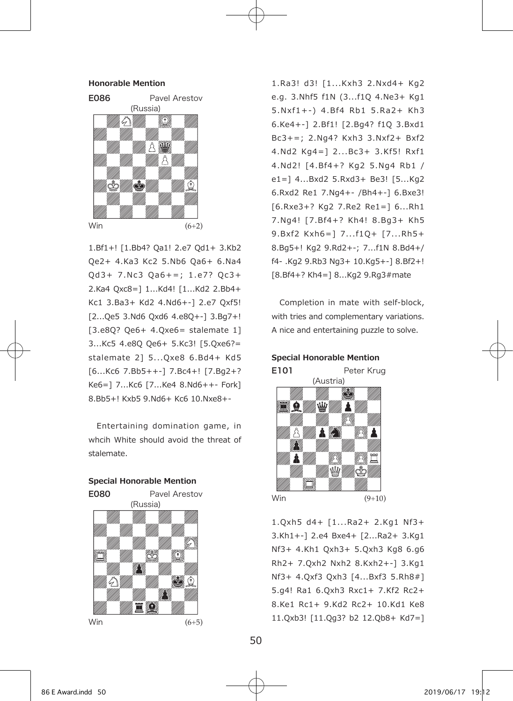

1.Bf1+! [1.Bb4? Qa1! 2.e7 Qd1+ 3.Kb2 Qe2+ 4.Ka3 Kc2 5.Nb6 Qa6+ 6.Na4  $Qd3+ 7. Nc3 Qa6+=; 1.e7? Qc3+$ 2.Ka4 Qxc8=] 1...Kd4! [1...Kd2 2.Bb4+ Kc1 3.Ba3+ Kd2 4.Nd6+-] 2.e7 Qxf5! [2...Qe5 3.Nd6 Qxd6 4.e8Q+-] 3.Bg7+! [3.e8Q? Qe6+ 4.Qxe6= stalemate 1] 3...Kc5 4.e8Q Qe6+ 5.Kc3! [5.Qxe6?= stalemate 2] 5...Qxe8 6.Bd4+ Kd5 [6...Kc6 7.Bb5++-] 7.Bc4+! [7.Bg2+? Ke6=] 7...Kc6 [7...Ke4 8.Nd6++- Fork] 8.Bb5+! Kxb5 9.Nd6+ Kc6 10.Nxe8+-

 Entertaining domination game, in whcih White should avoid the threat of stalemate.



1.Ra3! d3! [1...Kxh3 2.Nxd4+ Kg2 e.g. 3.Nhf5 f1N (3...f1Q 4.Ne3+ Kg1 5.Nxf1+-) 4.Bf4 Rb1 5.Ra2+ Kh3 6.Ke4+-] 2.Bf1! [2.Bg4? f1Q 3.Bxd1 Bc3+=; 2.Ng4? Kxh3 3.Nxf2+ Bxf2 4.Nd2 Kg4=] 2...Bc3+ 3.Kf5! Rxf1 4.Nd2! [4.Bf4+? Kg2 5.Ng4 Rb1 / e1=] 4...Bxd2 5.Rxd3+ Be3! [5...Kg2 6.Rxd2 Re1 7.Ng4+- /Bh4+-] 6.Bxe3! [6.Rxe3+? Kg2 7.Re2 Re1=] 6...Rh1 7.Ng4! [7.Bf4+? Kh4! 8.Bg3+ Kh5 9.Bxf2 Kxh6=] 7...f1Q+ [7...Rh5+ 8.Bg5+! Kg2 9.Rd2+-; 7...f1N 8.Bd4+/ f4- .Kg2 9.Rb3 Ng3+ 10.Kg5+-] 8.Bf2+! [8.Bf4+? Kh4=] 8...Kg2 9.Rg3#mate

 Completion in mate with self-block, with tries and complementary variations. A nice and entertaining puzzle to solve.



1.Qxh5 d4+ [1...Ra2+ 2.Kg1 Nf3+ 3.Kh1+-] 2.e4 Bxe4+ [2...Ra2+ 3.Kg1 Nf3+ 4.Kh1 Qxh3+ 5.Qxh3 Kg8 6.g6 Rh2+ 7.Qxh2 Nxh2 8.Kxh2+-] 3.Kg1 Nf3+ 4.Qxf3 Qxh3 [4...Bxf3 5.Rh8#] 5.g4! Ra1 6.Qxh3 Rxc1+ 7.Kf2 Rc2+ 8.Ke1 Rc1+ 9.Kd2 Rc2+ 10.Kd1 Ke8 11.Qxb3! [11.Qg3? b2 12.Qb8+ Kd7=]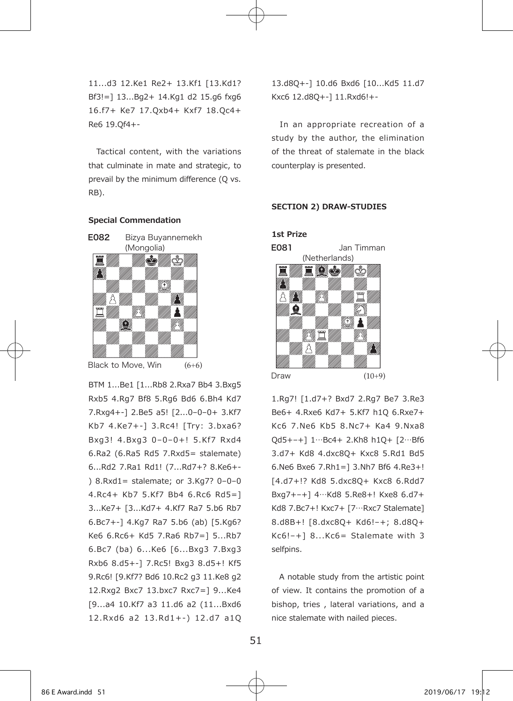11...d3 12.Ke1 Re2+ 13.Kf1 [13.Kd1? Bf3!=] 13...Bg2+ 14.Kg1 d2 15.g6 fxg6 16.f7+ Ke7 17.Qxb4+ Kxf7 18.Qc4+ Re6 19.Qf4+-

 Tactical content, with the variations that culminate in mate and strategic, to prevail by the minimum difference (Q vs. RB).

### **Special Commendation**



Black to Move, Win  $+6)$ 

BTM 1...Be1 [1...Rb8 2.Rxa7 Bb4 3.Bxg5 Rxb5 4.Rg7 Bf8 5.Rg6 Bd6 6.Bh4 Kd7 7.Rxg4+-] 2.Be5 a5! [2...0–0–0+ 3.Kf7 Kb7 4.Ke7+-] 3.Rc4! [Try: 3.bxa6? Bxg3! 4.Bxg3 0-0-0+! 5.Kf7 Rxd4 6.Ra2 (6.Ra5 Rd5 7.Rxd5= stalemate) 6...Rd2 7.Ra1 Rd1! (7...Rd7+? 8.Ke6+- ) 8.Rxd1= stalemate; or 3.Kg7? 0–0–0 4.Rc4+ Kb7 5.Kf7 Bb4 6.Rc6 Rd5=] 3...Ke7+ [3...Kd7+ 4.Kf7 Ra7 5.b6 Rb7 6.Bc7+-] 4.Kg7 Ra7 5.b6 (ab) [5.Kg6? Ke6 6.Rc6+ Kd5 7.Ra6 Rb7=] 5...Rb7 6.Bc7 (ba) 6...Ke6 [6...Bxg3 7.Bxg3 Rxb6 8.d5+-] 7.Rc5! Bxg3 8.d5+! Kf5 9.Rc6! [9.Kf7? Bd6 10.Rc2 g3 11.Ke8 g2 12.Rxg2 Bxc7 13.bxc7 Rxc7=] 9...Ke4 [9...a4 10.Kf7 a3 11.d6 a2 (11...Bxd6 12 .Rxd6 a2 13 .Rd1+-) 12 .d7 a1Q 13.d8Q+-] 10.d6 Bxd6 [10...Kd5 11.d7 Kxc6 12.d8Q+-] 11.Rxd6!+-

 In an appropriate recreation of a study by the author, the elimination of the threat of stalemate in the black counterplay is presented.

## **SECTION 2) DRAW-STUDIES**



1.Rg7! [1.d7+? Bxd7 2.Rg7 Be7 3.Re3 Be6+ 4.Rxe6 Kd7+ 5.Kf7 h1Q 6.Rxe7+ Kc6 7.Ne6 Kb5 8.Nc7+ Ka4 9.Nxa8 Qd5+–+] 1…Bc4+ 2.Kh8 h1Q+ [2…Bf6 3.d7+ Kd8 4.dxc8Q+ Kxc8 5.Rd1 Bd5 6.Ne6 Bxe6 7.Rh1=] 3.Nh7 Bf6 4.Re3+! [4.d7+!? Kd8 5.dxc8Q+ Kxc8 6.Rdd7 Bxg7+–+] 4…Kd8 5.Re8+! Kxe8 6.d7+ Kd8 7.Bc7+! Kxc7+ [7…Rxc7 Stalemate] 8.d8B+! [8.dxc8Q+ Kd6!–+; 8.d8Q+ Kc6!–+] 8...Kc6= Stalemate with 3 selfpins.

 A notable study from the artistic point of view. It contains the promotion of a bishop, tries , lateral variations, and a nice stalemate with nailed pieces.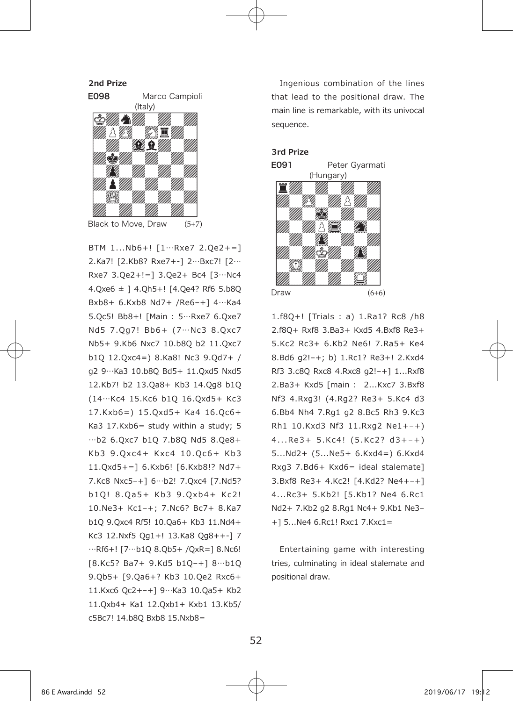**2nd Prize** E098 Marco Campioli (Italy) A 72 Black to Move, Draw  $(5+7)$ 

BTM 1...Nb6+! [1…Rxe7 2.Qe2+=] 2.Ka7! [2.Kb8? Rxe7+-] 2…Bxc7! [2… Rxe7 3.Qe2+!=] 3.Qe2+ Bc4 [3…Nc4 4.Qxe6 ± ] 4.Qh5+! [4.Qe4? Rf6 5.b8Q Bxb8+ 6.Kxb8 Nd7+ /Re6–+] 4…Ka4 5.Qc5! Bb8+! [Main : 5…Rxe7 6.Qxe7 Nd5 7.0q7! Bb6+ (7…Nc3 8.0xc7 Nb5+ 9.Kb6 Nxc7 10.b8Q b2 11.Qxc7 b1Q 12.Qxc4=) 8.Ka8! Nc3 9.Qd7+ / g2 9…Ka3 10.b8Q Bd5+ 11.Qxd5 Nxd5 12.Kb7! b2 13.Qa8+ Kb3 14.Qg8 b1Q (14…Kc4 15.Kc6 b1Q 16.Qxd5+ Kc3 17.Kxb6=) 15.Qxd5+ Ka4 16.Qc6+ Ka3 17.Kxb6= study within a study; 5 …b2 6.Qxc7 b1Q 7.b8Q Nd5 8.Qe8+ Kb3 9.0xc4+ Kxc4 10.0c6+ Kb3 11.Qxd5+=] 6.Kxb6! [6.Kxb8!? Nd7+ 7.Kc8 Nxc5–+] 6…b2! 7.Qxc4 [7.Nd5? b 10! 8.0a5+ Kb3 9.0xb4+ Kc2! 10.Ne3+ Kc1–+; 7.Nc6? Bc7+ 8.Ka7 b1Q 9.Qxc4 Rf5! 10.Qa6+ Kb3 11.Nd4+ Kc3 12.Nxf5 Qg1+! 13.Ka8 Qg8++-] 7 …Rf6+! [7…b1Q 8.Qb5+ /QxR=] 8.Nc6! [8.Kc5? Ba7+ 9.Kd5 b1Q–+] 8…b1Q 9.Qb5+ [9.Qa6+? Kb3 10.Qe2 Rxc6+ 11.Kxc6 Qc2+–+] 9…Ka3 10.Qa5+ Kb2 11.Qxb4+ Ka1 12.Qxb1+ Kxb1 13.Kb5/ c5Bc7! 14.b8Q Bxb8 15.Nxb8=

 Ingenious combination of the lines that lead to the positional draw. The main line is remarkable, with its univocal sequence.

#### **3rd Prize**



1.f8Q+! [Trials : a) 1.Ra1? Rc8 /h8 2.f8Q+ Rxf8 3.Ba3+ Kxd5 4.Bxf8 Re3+ 5.Kc2 Rc3+ 6.Kb2 Ne6! 7.Ra5+ Ke4 8.Bd6 g2!–+; b) 1.Rc1? Re3+! 2.Kxd4 Rf3 3.c8Q Rxc8 4.Rxc8 g2!–+] 1...Rxf8 2.Ba3+ Kxd5 [main : 2...Kxc7 3.Bxf8 Nf3 4.Rxg3! (4.Rg2? Re3+ 5.Kc4 d3 6.Bb4 Nh4 7.Rg1 g2 8.Bc5 Rh3 9.Kc3 Rh1 10.Kxd3 Nf3 11.Rxg2 Ne1+–+)  $4...Re3+5.Kc4! (5.Kc2? d3+-+)$ 5...Nd2+ (5...Ne5+ 6.Kxd4=) 6.Kxd4 Rxg3 7.Bd6+ Kxd6= ideal stalemate] 3.Bxf8 Re3+ 4.Kc2! [4.Kd2? Ne4+–+] 4...Rc3+ 5.Kb2! [5.Kb1? Ne4 6.Rc1 Nd2+ 7.Kb2 g2 8.Rg1 Nc4+ 9.Kb1 Ne3– +] 5...Ne4 6.Rc1! Rxc1 7.Kxc1=

 Entertaining game with interesting tries, culminating in ideal stalemate and positional draw.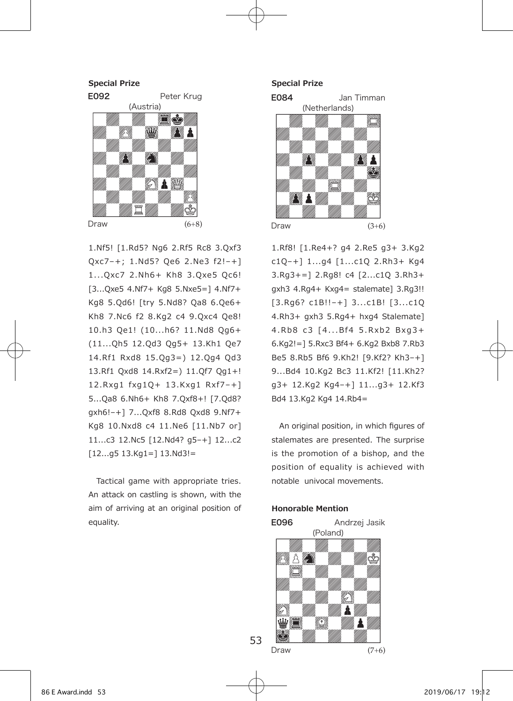

1.Nf5! [1.Rd5? Ng6 2.Rf5 Rc8 3.Qxf3 Qxc7–+; 1.Nd5? Qe6 2.Ne3 f2!–+] 1... Oxc7 2. Nh6+ Kh8 3. Oxe5 Oc6! [3...Qxe5 4.Nf7+ Kg8 5.Nxe5=] 4.Nf7+ Kg8 5.Qd6! [try 5.Nd8? Qa8 6.Qe6+ Kh8 7.Nc6 f2 8.Kg2 c4 9.Qxc4 Qe8! 10.h3 Qe1! (10...h6? 11.Nd8 Qg6+ (11...Qh5 12.Qd3 Qg5+ 13.Kh1 Qe7 14.Rf1 Rxd8 15.Qg3=) 12.Qg4 Qd3 13.Rf1 Qxd8 14.Rxf2=) 11.Qf7 Qg1+! 12 .Rxg1 fxg1Q+ 13 .Kxg1 Rx f7–+] 5...Qa8 6.Nh6+ Kh8 7.Qxf8+! [7.Qd8? gxh6!–+] 7...Qxf8 8.Rd8 Qxd8 9.Nf7+ Kg8 10.Nxd8 c4 11.Ne6 [11.Nb7 or] 11...c3 12.Nc5 [12.Nd4? g5–+] 12...c2  $[12...q5 13.Kq1=] 13.Nd3!=$ 

 Tactical game with appropriate tries. An attack on castling is shown, with the aim of arriving at an original position of equality.

**Special Prize**



1.Rf8! [1.Re4+? g4 2.Re5 g3+ 3.Kg2 c1Q–+] 1...g4 [1...c1Q 2.Rh3+ Kg4 3.Rg3+=] 2.Rg8! c4 [2...c1Q 3.Rh3+ gxh3 4.Rg4+ Kxg4= stalemate] 3.Rg3!! [3.Rg6? c1B!!–+] 3...c1B! [3...c1Q 4.Rh3+ gxh3 5.Rg4+ hxg4 Stalemate] 4.Rb8 c3 [4...Bf4 5.Rxb2 Bxg3+ 6.Kg2!=] 5.Rxc3 Bf4+ 6.Kg2 Bxb8 7.Rb3 Be5 8.Rb5 Bf6 9.Kh2! [9.Kf2? Kh3–+] 9...Bd4 10.Kg2 Bc3 11.Kf2! [11.Kh2? g3+ 12.Kg2 Kg4–+] 11...g3+ 12.Kf3 Bd4 13.Kg2 Kg4 14.Rb4=

 An original position, in which figures of stalemates are presented. The surprise is the promotion of a bishop, and the position of equality is achieved with notable univocal movements.

### **Honorable Mention**



53